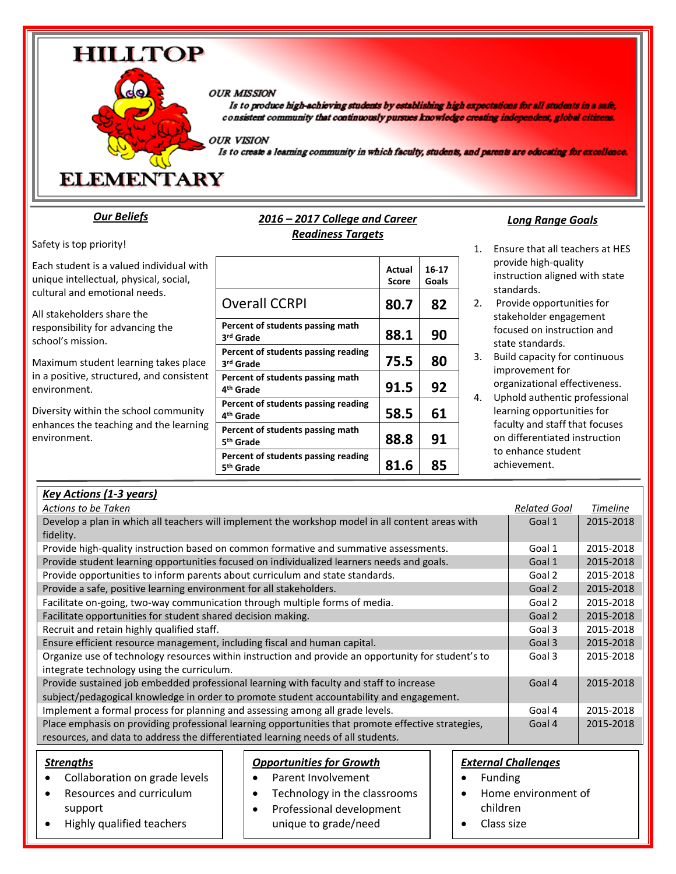#### **OUR MISSION**

Is to produce high-achieving students by establishing high expectations for all students in a safe, consistent community that continuously pursues knowledge creating independent, global citizens.

**OUR VISION** 

Is to create a learning community in which faculty, students, and parents are educating for excellence.

**ELEMENTARY** 

**HILLTOP** 

#### *Our Beliefs*

Safety is top priority!

Each student is a valued individual with unique intellectual, physical, social, cultural and emotional needs.

All stakeholders share the responsibility for advancing the school's mission.

Maximum student learning takes place in a positive, structured, and consistent environment.

Diversity within the school community enhances the teaching and the learning environment.

| 2016 - 2017 College and Career |  |
|--------------------------------|--|
| <b>Readiness Targets</b>       |  |

|                                                              | Actual<br><b>Score</b> | 16-17<br>Goals |
|--------------------------------------------------------------|------------------------|----------------|
| <b>Overall CCRPI</b>                                         | 80.7                   | 82             |
| Percent of students passing math<br>3 <sup>rd</sup> Grade    | 88.1                   | 90             |
| Percent of students passing reading<br>3 <sup>rd</sup> Grade | 75.5                   | 80             |
| Percent of students passing math<br>4 <sup>th</sup> Grade    | 91.5                   | 92             |
| Percent of students passing reading<br>4 <sup>th</sup> Grade | 58.5                   | 61             |
| Percent of students passing math<br>5 <sup>th</sup> Grade    | 88.8                   | 91             |
| Percent of students passing reading<br>5 <sup>th</sup> Grade | 81.6                   | 85             |

#### *Long Range Goals*

- 1. Ensure that all teachers at HES provide high-quality instruction aligned with state standards.
- 2. Provide opportunities for stakeholder engagement focused on instruction and state standards.
- 3. Build capacity for continuous improvement for organizational effectiveness.
- 4. Uphold authentic professional learning opportunities for faculty and staff that focuses on differentiated instruction to enhance student achievement.

| <b>Actions to be Taken</b><br><b>Related Goal</b><br><b>Timeline</b><br>Develop a plan in which all teachers will implement the workshop model in all content areas with<br>Goal 1<br>2015-2018<br>fidelity.<br>Provide high-quality instruction based on common formative and summative assessments.<br>Goal 1<br>2015-2018<br>Provide student learning opportunities focused on individualized learners needs and goals.<br>Goal 1<br>2015-2018<br>Provide opportunities to inform parents about curriculum and state standards.<br>Goal 2<br>2015-2018<br>Provide a safe, positive learning environment for all stakeholders.<br>Goal 2<br>2015-2018<br>Facilitate on-going, two-way communication through multiple forms of media.<br>2015-2018<br>Goal 2<br>Facilitate opportunities for student shared decision making.<br>Goal 2<br>2015-2018<br>Recruit and retain highly qualified staff.<br>2015-2018<br>Goal 3<br>Ensure efficient resource management, including fiscal and human capital.<br>Goal 3<br>2015-2018<br>Organize use of technology resources within instruction and provide an opportunity for student's to<br>2015-2018<br>Goal 3<br>integrate technology using the curriculum.<br>Provide sustained job embedded professional learning with faculty and staff to increase<br>Goal 4<br>2015-2018<br>subject/pedagogical knowledge in order to promote student accountability and engagement.<br>Implement a formal process for planning and assessing among all grade levels.<br>Goal 4<br>2015-2018<br>Place emphasis on providing professional learning opportunities that promote effective strategies,<br>2015-2018<br>Goal 4<br>resources, and data to address the differentiated learning needs of all students. | <b>Key Actions (1-3 years)</b> |  |
|---------------------------------------------------------------------------------------------------------------------------------------------------------------------------------------------------------------------------------------------------------------------------------------------------------------------------------------------------------------------------------------------------------------------------------------------------------------------------------------------------------------------------------------------------------------------------------------------------------------------------------------------------------------------------------------------------------------------------------------------------------------------------------------------------------------------------------------------------------------------------------------------------------------------------------------------------------------------------------------------------------------------------------------------------------------------------------------------------------------------------------------------------------------------------------------------------------------------------------------------------------------------------------------------------------------------------------------------------------------------------------------------------------------------------------------------------------------------------------------------------------------------------------------------------------------------------------------------------------------------------------------------------------------------------------------------------------------------------------------------------|--------------------------------|--|
|                                                                                                                                                                                                                                                                                                                                                                                                                                                                                                                                                                                                                                                                                                                                                                                                                                                                                                                                                                                                                                                                                                                                                                                                                                                                                                                                                                                                                                                                                                                                                                                                                                                                                                                                                   |                                |  |
|                                                                                                                                                                                                                                                                                                                                                                                                                                                                                                                                                                                                                                                                                                                                                                                                                                                                                                                                                                                                                                                                                                                                                                                                                                                                                                                                                                                                                                                                                                                                                                                                                                                                                                                                                   |                                |  |
|                                                                                                                                                                                                                                                                                                                                                                                                                                                                                                                                                                                                                                                                                                                                                                                                                                                                                                                                                                                                                                                                                                                                                                                                                                                                                                                                                                                                                                                                                                                                                                                                                                                                                                                                                   |                                |  |
|                                                                                                                                                                                                                                                                                                                                                                                                                                                                                                                                                                                                                                                                                                                                                                                                                                                                                                                                                                                                                                                                                                                                                                                                                                                                                                                                                                                                                                                                                                                                                                                                                                                                                                                                                   |                                |  |
|                                                                                                                                                                                                                                                                                                                                                                                                                                                                                                                                                                                                                                                                                                                                                                                                                                                                                                                                                                                                                                                                                                                                                                                                                                                                                                                                                                                                                                                                                                                                                                                                                                                                                                                                                   |                                |  |
|                                                                                                                                                                                                                                                                                                                                                                                                                                                                                                                                                                                                                                                                                                                                                                                                                                                                                                                                                                                                                                                                                                                                                                                                                                                                                                                                                                                                                                                                                                                                                                                                                                                                                                                                                   |                                |  |
|                                                                                                                                                                                                                                                                                                                                                                                                                                                                                                                                                                                                                                                                                                                                                                                                                                                                                                                                                                                                                                                                                                                                                                                                                                                                                                                                                                                                                                                                                                                                                                                                                                                                                                                                                   |                                |  |
|                                                                                                                                                                                                                                                                                                                                                                                                                                                                                                                                                                                                                                                                                                                                                                                                                                                                                                                                                                                                                                                                                                                                                                                                                                                                                                                                                                                                                                                                                                                                                                                                                                                                                                                                                   |                                |  |
|                                                                                                                                                                                                                                                                                                                                                                                                                                                                                                                                                                                                                                                                                                                                                                                                                                                                                                                                                                                                                                                                                                                                                                                                                                                                                                                                                                                                                                                                                                                                                                                                                                                                                                                                                   |                                |  |
|                                                                                                                                                                                                                                                                                                                                                                                                                                                                                                                                                                                                                                                                                                                                                                                                                                                                                                                                                                                                                                                                                                                                                                                                                                                                                                                                                                                                                                                                                                                                                                                                                                                                                                                                                   |                                |  |
|                                                                                                                                                                                                                                                                                                                                                                                                                                                                                                                                                                                                                                                                                                                                                                                                                                                                                                                                                                                                                                                                                                                                                                                                                                                                                                                                                                                                                                                                                                                                                                                                                                                                                                                                                   |                                |  |
|                                                                                                                                                                                                                                                                                                                                                                                                                                                                                                                                                                                                                                                                                                                                                                                                                                                                                                                                                                                                                                                                                                                                                                                                                                                                                                                                                                                                                                                                                                                                                                                                                                                                                                                                                   |                                |  |
|                                                                                                                                                                                                                                                                                                                                                                                                                                                                                                                                                                                                                                                                                                                                                                                                                                                                                                                                                                                                                                                                                                                                                                                                                                                                                                                                                                                                                                                                                                                                                                                                                                                                                                                                                   |                                |  |
|                                                                                                                                                                                                                                                                                                                                                                                                                                                                                                                                                                                                                                                                                                                                                                                                                                                                                                                                                                                                                                                                                                                                                                                                                                                                                                                                                                                                                                                                                                                                                                                                                                                                                                                                                   |                                |  |
|                                                                                                                                                                                                                                                                                                                                                                                                                                                                                                                                                                                                                                                                                                                                                                                                                                                                                                                                                                                                                                                                                                                                                                                                                                                                                                                                                                                                                                                                                                                                                                                                                                                                                                                                                   |                                |  |
|                                                                                                                                                                                                                                                                                                                                                                                                                                                                                                                                                                                                                                                                                                                                                                                                                                                                                                                                                                                                                                                                                                                                                                                                                                                                                                                                                                                                                                                                                                                                                                                                                                                                                                                                                   |                                |  |
|                                                                                                                                                                                                                                                                                                                                                                                                                                                                                                                                                                                                                                                                                                                                                                                                                                                                                                                                                                                                                                                                                                                                                                                                                                                                                                                                                                                                                                                                                                                                                                                                                                                                                                                                                   |                                |  |
|                                                                                                                                                                                                                                                                                                                                                                                                                                                                                                                                                                                                                                                                                                                                                                                                                                                                                                                                                                                                                                                                                                                                                                                                                                                                                                                                                                                                                                                                                                                                                                                                                                                                                                                                                   |                                |  |

#### *Strengths* • Collaboration on grade levels Resources and curriculum support Highly qualified teachers *External Challenges* • Funding Home environment of children • Class size *Opportunities for Growth* • Parent Involvement Technology in the classrooms • Professional development unique to grade/need